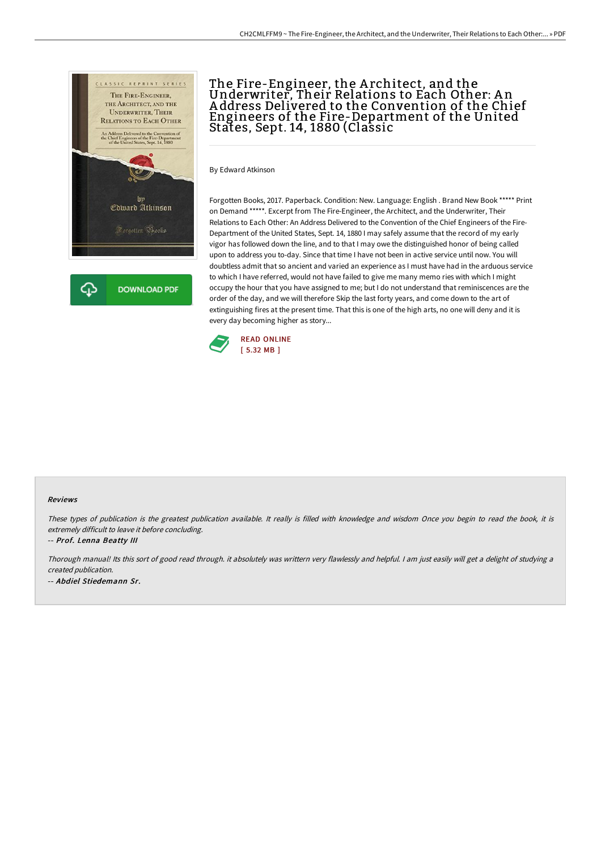

## The Fire-Engineer, the A rchitect, and the Underwriter, Their Relations to Each Other: A n A ddress Delivered to the Convention of the Chief Engineers of the Fire-Department of the United States, Sept. 14, 1880 (Classic

By Edward Atkinson

Forgotten Books, 2017. Paperback. Condition: New. Language: English . Brand New Book \*\*\*\*\* Print on Demand \*\*\*\*\*. Excerpt from The Fire-Engineer, the Architect, and the Underwriter, Their Relations to Each Other: An Address Delivered to the Convention of the Chief Engineers of the Fire-Department of the United States, Sept. 14, 1880 I may safely assume that the record of my early vigor has followed down the line, and to that I may owe the distinguished honor of being called upon to address you to-day. Since that time I have not been in active service until now. You will doubtless admit that so ancient and varied an experience as I must have had in the arduous service to which I have referred, would not have failed to give me many memo ries with which I might occupy the hour that you have assigned to me; but I do not understand that reminiscences are the order of the day, and we will therefore Skip the last forty years, and come down to the art of extinguishing fires at the present time. That this is one of the high arts, no one will deny and it is every day becoming higher as story...



#### Reviews

These types of publication is the greatest publication available. It really is filled with knowledge and wisdom Once you begin to read the book, it is extremely difficult to leave it before concluding.

-- Prof. Lenna Beatty III

Thorough manual! Its this sort of good read through. it absolutely was writtern very flawlessly and helpful. <sup>I</sup> am just easily will get <sup>a</sup> delight of studying <sup>a</sup> created publication. -- Abdiel Stiedemann Sr.